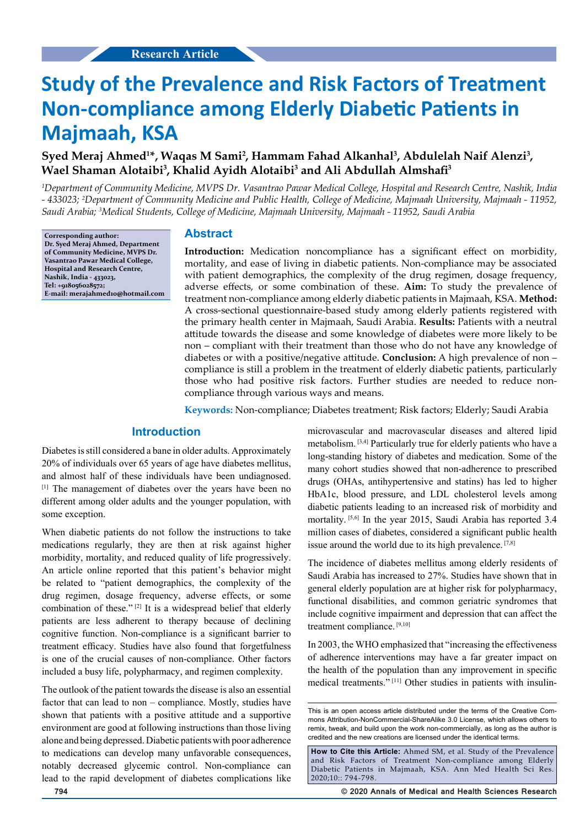# **Study of the Prevalence and Risk Factors of Treatment Non-compliance among Elderly Diabetic Patients in Majmaah, KSA**

# Syed Meraj Ahmed<sup>1\*</sup>, Waqas M Sami<sup>2</sup>, Hammam Fahad Alkanhal<sup>3</sup>, Abdulelah Naif Alenzi<sup>3</sup>, **Wael Shaman Alotaibi3 , Khalid Ayidh Alotaibi3 and Ali Abdullah Almshafi<sup>3</sup>**

*1 Department of Community Medicine, MVPS Dr. Vasantrao Pawar Medical College, Hospital and Research Centre, Nashik, India - 433023; 2 Department of Community Medicine and Public Health, College of Medicine, Majmaah University, Majmaah - 11952, Saudi Arabia; 3 Medical Students, College of Medicine, Majmaah University, Majmaah - 11952, Saudi Arabia*

**Corresponding author: Dr. Syed Meraj Ahmed, Department of Community Medicine, MVPS Dr. Vasantrao Pawar Medical College, Hospital and Research Centre, Nashik, India - 433023, Tel: +918056028572; E-mail: merajahmed10@hotmail.com**

## **Abstract**

**Introduction:** Medication noncompliance has a significant effect on morbidity, mortality, and ease of living in diabetic patients. Non-compliance may be associated with patient demographics, the complexity of the drug regimen, dosage frequency, adverse effects, or some combination of these. **Aim:** To study the prevalence of treatment non-compliance among elderly diabetic patients in Majmaah, KSA. **Method:** A cross-sectional questionnaire-based study among elderly patients registered with the primary health center in Majmaah, Saudi Arabia. **Results:** Patients with a neutral attitude towards the disease and some knowledge of diabetes were more likely to be non – compliant with their treatment than those who do not have any knowledge of diabetes or with a positive/negative attitude. **Conclusion:** A high prevalence of non – compliance is still a problem in the treatment of elderly diabetic patients, particularly those who had positive risk factors. Further studies are needed to reduce noncompliance through various ways and means.

**Keywords:** Non-compliance; Diabetes treatment; Risk factors; Elderly; Saudi Arabia

## **Introduction**

Diabetes is still considered a bane in older adults. Approximately 20% of individuals over 65 years of age have diabetes mellitus, and almost half of these individuals have been undiagnosed. [1] The management of diabetes over the years have been no different among older adults and the younger population, with some exception.

When diabetic patients do not follow the instructions to take medications regularly, they are then at risk against higher morbidity, mortality, and reduced quality of life progressively. An article online reported that this patient's behavior might be related to "patient demographics, the complexity of the drug regimen, dosage frequency, adverse effects, or some combination of these." [2] It is a widespread belief that elderly patients are less adherent to therapy because of declining cognitive function. Non-compliance is a significant barrier to treatment efficacy. Studies have also found that forgetfulness is one of the crucial causes of non-compliance. Other factors included a busy life, polypharmacy, and regimen complexity.

The outlook of the patient towards the disease is also an essential factor that can lead to non – compliance. Mostly, studies have shown that patients with a positive attitude and a supportive environment are good at following instructions than those living alone and being depressed. Diabetic patients with poor adherence to medications can develop many unfavorable consequences, notably decreased glycemic control. Non-compliance can lead to the rapid development of diabetes complications like microvascular and macrovascular diseases and altered lipid metabolism. [3,4] Particularly true for elderly patients who have a long-standing history of diabetes and medication. Some of the many cohort studies showed that non-adherence to prescribed drugs (OHAs, antihypertensive and statins) has led to higher HbA1c, blood pressure, and LDL cholesterol levels among diabetic patients leading to an increased risk of morbidity and mortality. [5,6] In the year 2015, Saudi Arabia has reported 3.4 million cases of diabetes, considered a significant public health issue around the world due to its high prevalence. [7,8]

The incidence of diabetes mellitus among elderly residents of Saudi Arabia has increased to 27%. Studies have shown that in general elderly population are at higher risk for polypharmacy, functional disabilities, and common geriatric syndromes that include cognitive impairment and depression that can affect the treatment compliance. [9,10]

In 2003, the WHO emphasized that "increasing the effectiveness of adherence interventions may have a far greater impact on the health of the population than any improvement in specific medical treatments." [11] Other studies in patients with insulin-

**How to Cite this Article:** Ahmed SM, et al. Study of the Prevalence and Risk Factors of Treatment Non-compliance among Elderly Diabetic Patients in Majmaah, KSA. Ann Med Health Sci Res. 2020;10:: 794-798.

**794 © 2020 Annals of Medical and Health Sciences Research** 

This is an open access article distributed under the terms of the Creative Com‑ mons Attribution‑NonCommercial‑ShareAlike 3.0 License, which allows others to remix, tweak, and build upon the work non‑commercially, as long as the author is credited and the new creations are licensed under the identical terms.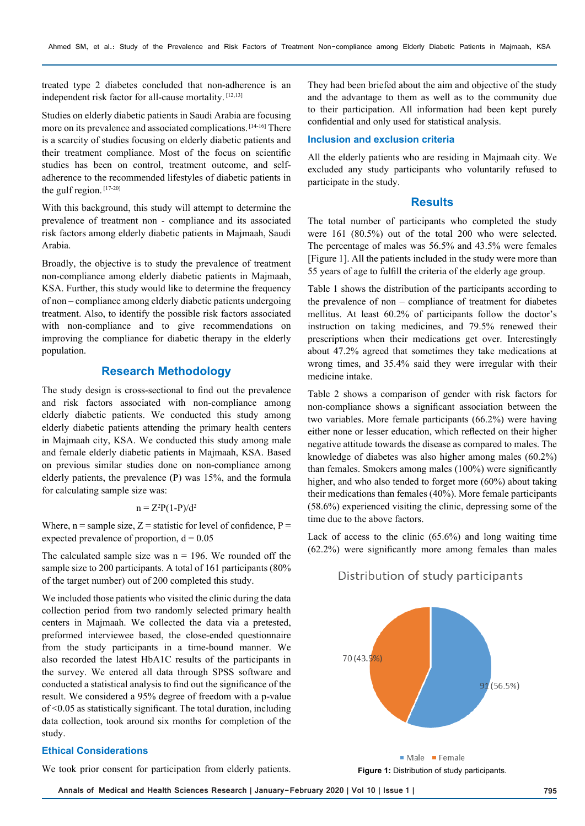treated type 2 diabetes concluded that non-adherence is an independent risk factor for all-cause mortality. [12,13]

Studies on elderly diabetic patients in Saudi Arabia are focusing more on its prevalence and associated complications. [14-16] There is a scarcity of studies focusing on elderly diabetic patients and their treatment compliance. Most of the focus on scientific studies has been on control, treatment outcome, and selfadherence to the recommended lifestyles of diabetic patients in the gulf region. [17-20]

With this background, this study will attempt to determine the prevalence of treatment non - compliance and its associated risk factors among elderly diabetic patients in Majmaah, Saudi Arabia.

Broadly, the objective is to study the prevalence of treatment non-compliance among elderly diabetic patients in Majmaah, KSA. Further, this study would like to determine the frequency of non – compliance among elderly diabetic patients undergoing treatment. Also, to identify the possible risk factors associated with non-compliance and to give recommendations on improving the compliance for diabetic therapy in the elderly population.

## **Research Methodology**

The study design is cross-sectional to find out the prevalence and risk factors associated with non-compliance among elderly diabetic patients. We conducted this study among elderly diabetic patients attending the primary health centers in Majmaah city, KSA. We conducted this study among male and female elderly diabetic patients in Majmaah, KSA. Based on previous similar studies done on non-compliance among elderly patients, the prevalence (P) was 15%, and the formula for calculating sample size was:

$$
n = Z^2P(1-P)/d^2
$$

Where,  $n =$ sample size,  $Z =$ statistic for level of confidence,  $P =$ expected prevalence of proportion,  $d = 0.05$ 

The calculated sample size was  $n = 196$ . We rounded off the sample size to 200 participants. A total of 161 participants (80% of the target number) out of 200 completed this study.

We included those patients who visited the clinic during the data collection period from two randomly selected primary health centers in Majmaah. We collected the data via a pretested, preformed interviewee based, the close-ended questionnaire from the study participants in a time-bound manner. We also recorded the latest HbA1C results of the participants in the survey. We entered all data through SPSS software and conducted a statistical analysis to find out the significance of the result. We considered a 95% degree of freedom with a p-value of <0.05 as statistically significant. The total duration, including data collection, took around six months for completion of the study.

### **Ethical Considerations**

We took prior consent for participation from elderly patients.

They had been briefed about the aim and objective of the study and the advantage to them as well as to the community due to their participation. All information had been kept purely confidential and only used for statistical analysis.

#### **Inclusion and exclusion criteria**

All the elderly patients who are residing in Majmaah city. We excluded any study participants who voluntarily refused to participate in the study.

## **Results**

The total number of participants who completed the study were 161 (80.5%) out of the total 200 who were selected. The percentage of males was 56.5% and 43.5% were females [Figure 1]. All the patients included in the study were more than 55 years of age to fulfill the criteria of the elderly age group.

Table 1 shows the distribution of the participants according to the prevalence of non – compliance of treatment for diabetes mellitus. At least 60.2% of participants follow the doctor's instruction on taking medicines, and 79.5% renewed their prescriptions when their medications get over. Interestingly about 47.2% agreed that sometimes they take medications at wrong times, and 35.4% said they were irregular with their medicine intake.

Table 2 shows a comparison of gender with risk factors for non-compliance shows a significant association between the two variables. More female participants (66.2%) were having either none or lesser education, which reflected on their higher negative attitude towards the disease as compared to males. The knowledge of diabetes was also higher among males (60.2%) than females. Smokers among males (100%) were significantly higher, and who also tended to forget more (60%) about taking their medications than females (40%). More female participants (58.6%) experienced visiting the clinic, depressing some of the time due to the above factors.

Lack of access to the clinic (65.6%) and long waiting time (62.2%) were significantly more among females than males

# Distribution of study participants



**Figure 1:** Distribution of study participants.

**Annals of Medical and Health Sciences Research | January-February 2020 | Vol 10 | Issue 1 | 795**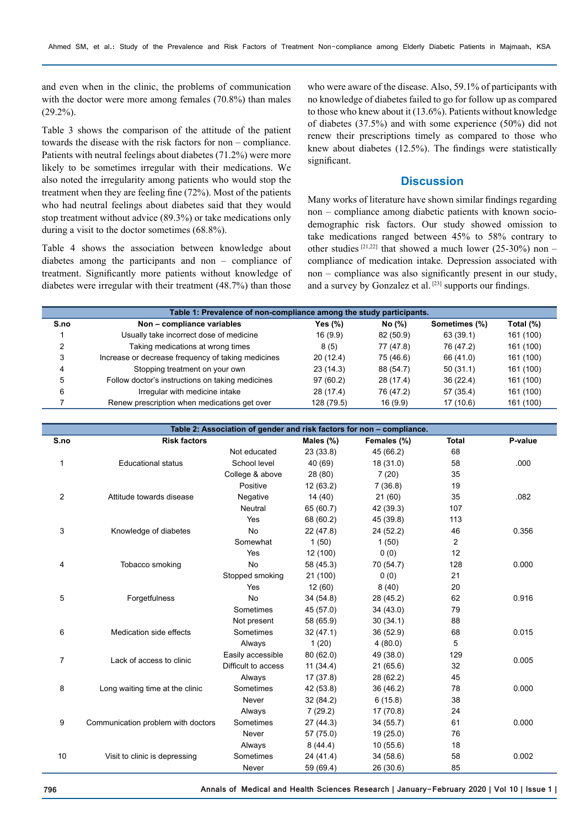and even when in the clinic, the problems of communication with the doctor were more among females (70.8%) than males (29.2%).

Table 3 shows the comparison of the attitude of the patient towards the disease with the risk factors for non – compliance. Patients with neutral feelings about diabetes (71.2%) were more likely to be sometimes irregular with their medications. We also noted the irregularity among patients who would stop the treatment when they are feeling fine (72%). Most of the patients who had neutral feelings about diabetes said that they would stop treatment without advice (89.3%) or take medications only during a visit to the doctor sometimes (68.8%).

Table 4 shows the association between knowledge about diabetes among the participants and non – compliance of treatment. Significantly more patients without knowledge of diabetes were irregular with their treatment (48.7%) than those

who were aware of the disease. Also, 59.1% of participants with no knowledge of diabetes failed to go for follow up as compared to those who knew about it (13.6%). Patients without knowledge of diabetes (37.5%) and with some experience (50%) did not renew their prescriptions timely as compared to those who knew about diabetes (12.5%). The findings were statistically significant.

## **Discussion**

Many works of literature have shown similar findings regarding non – compliance among diabetic patients with known sociodemographic risk factors. Our study showed omission to take medications ranged between 45% to 58% contrary to other studies  $[21,22]$  that showed a much lower (25-30%) non – compliance of medication intake. Depression associated with non – compliance was also significantly present in our study, and a survey by Gonzalez et al. [23] supports our findings.

| Table 1: Prevalence of non-compliance among the study participants. |                                                    |            |           |               |           |  |  |  |  |
|---------------------------------------------------------------------|----------------------------------------------------|------------|-----------|---------------|-----------|--|--|--|--|
| S.no                                                                | Non - compliance variables                         | Yes (%)    | No (%)    | Sometimes (%) | Total (%) |  |  |  |  |
|                                                                     | Usually take incorrect dose of medicine            | 16 (9.9)   | 82 (50.9) | 63 (39.1)     | 161 (100) |  |  |  |  |
| 2                                                                   | Taking medications at wrong times                  | 8(5)       | 77 (47.8) | 76 (47.2)     | 161 (100) |  |  |  |  |
| 3                                                                   | Increase or decrease frequency of taking medicines | 20(12.4)   | 75 (46.6) | 66 (41.0)     | 161 (100) |  |  |  |  |
| 4                                                                   | Stopping treatment on your own                     | 23(14.3)   | 88 (54.7) | 50(31.1)      | 161 (100) |  |  |  |  |
| 5                                                                   | Follow doctor's instructions on taking medicines   | 97(60.2)   | 28 (17.4) | 36(22.4)      | 161 (100) |  |  |  |  |
| 6                                                                   | Irregular with medicine intake                     | 28(17.4)   | 76 (47.2) | 57 (35.4)     | 161 (100) |  |  |  |  |
|                                                                     | Renew prescription when medications get over       | 128 (79.5) | 16(9.9)   | 17(10.6)      | 161 (100) |  |  |  |  |

| Table 2: Association of gender and risk factors for non - compliance. |                                    |                     |           |             |                |         |
|-----------------------------------------------------------------------|------------------------------------|---------------------|-----------|-------------|----------------|---------|
| S.no                                                                  | <b>Risk factors</b>                |                     | Males (%) | Females (%) | <b>Total</b>   | P-value |
|                                                                       |                                    | Not educated        | 23(33.8)  | 45 (66.2)   | 68             |         |
| 1                                                                     | <b>Educational status</b>          | School level        | 40 (69)   | 18 (31.0)   | 58             | .000    |
|                                                                       |                                    | College & above     | 28 (80)   | 7(20)       | 35             |         |
|                                                                       |                                    | Positive            | 12(63.2)  | 7(36.8)     | 19             |         |
| $\overline{2}$                                                        | Attitude towards disease           | Negative            | 14(40)    | 21(60)      | 35             | .082    |
|                                                                       |                                    | Neutral             | 65 (60.7) | 42 (39.3)   | 107            |         |
|                                                                       |                                    | Yes                 | 68 (60.2) | 45 (39.8)   | 113            |         |
| 3                                                                     | Knowledge of diabetes              | <b>No</b>           | 22 (47.8) | 24 (52.2)   | 46             | 0.356   |
|                                                                       |                                    | Somewhat            | 1(50)     | 1(50)       | $\overline{c}$ |         |
|                                                                       |                                    | Yes                 | 12 (100)  | 0(0)        | 12             |         |
| 4                                                                     | Tobacco smoking                    | <b>No</b>           | 58 (45.3) | 70 (54.7)   | 128            | 0.000   |
|                                                                       |                                    | Stopped smoking     | 21 (100)  | 0(0)        | 21             |         |
|                                                                       | Forgetfulness                      | Yes                 | 12 (60)   | 8(40)       | 20             |         |
| 5                                                                     |                                    | <b>No</b>           | 34(54.8)  | 28 (45.2)   | 62             | 0.916   |
|                                                                       |                                    | Sometimes           | 45 (57.0) | 34 (43.0)   | 79             |         |
|                                                                       | Medication side effects            | Not present         | 58 (65.9) | 30(34.1)    | 88             |         |
| 6                                                                     |                                    | Sometimes           | 32(47.1)  | 36 (52.9)   | 68             | 0.015   |
|                                                                       |                                    | Always              | 1(20)     | 4(80.0)     | 5              |         |
| 7                                                                     | Lack of access to clinic           | Easily accessible   | 80(62.0)  | 49 (38.0)   | 129            |         |
|                                                                       |                                    | Difficult to access | 11(34.4)  | 21(65.6)    | 32             | 0.005   |
| 8                                                                     | Long waiting time at the clinic    | Always              | 17(37.8)  | 28 (62.2)   | 45             |         |
|                                                                       |                                    | Sometimes           | 42 (53.8) | 36 (46.2)   | 78             | 0.000   |
|                                                                       |                                    | Never               | 32 (84.2) | 6(15.8)     | 38             |         |
| 9                                                                     | Communication problem with doctors | Always              | 7(29.2)   | 17(70.8)    | 24             |         |
|                                                                       |                                    | Sometimes           | 27(44.3)  | 34(55.7)    | 61             | 0.000   |
|                                                                       |                                    | Never               | 57 (75.0) | 19(25.0)    | 76             |         |
|                                                                       | Visit to clinic is depressing      | Always              | 8(44.4)   | 10(55.6)    | 18             |         |
| 10                                                                    |                                    | Sometimes           | 24 (41.4) | 34 (58.6)   | 58             | 0.002   |
|                                                                       |                                    | Never               | 59 (69.4) | 26(30.6)    | 85             |         |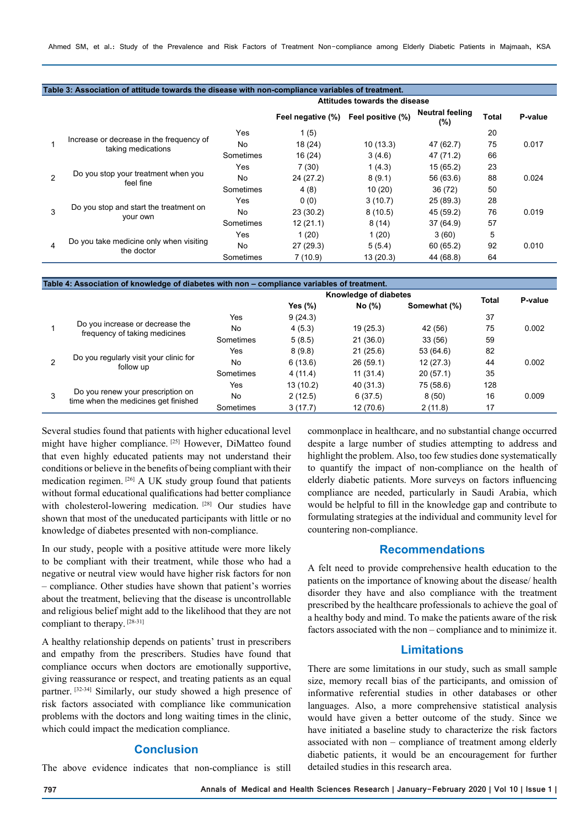|                |                                                                | Attitudes towards the disease |                   |                   |                               |       |         |
|----------------|----------------------------------------------------------------|-------------------------------|-------------------|-------------------|-------------------------------|-------|---------|
|                |                                                                |                               | Feel negative (%) | Feel positive (%) | <b>Neutral feeling</b><br>(%) | Total | P-value |
|                | Increase or decrease in the frequency of<br>taking medications | Yes                           | 1(5)              |                   |                               | 20    |         |
|                |                                                                | No.                           | 18 (24)           | 10(13.3)          | 47 (62.7)                     | 75    | 0.017   |
|                |                                                                | Sometimes                     | 16(24)            | 3(4.6)            | 47 (71.2)                     | 66    |         |
| $\mathfrak{p}$ |                                                                | Yes                           | 7(30)             | 1(4.3)            | 15(65.2)                      | 23    |         |
|                | Do you stop your treatment when you<br>feel fine               | No                            | 24 (27.2)         | 8(9.1)            | 56 (63.6)                     | 88    | 0.024   |
|                |                                                                | Sometimes                     | 4 (8)             | 10(20)            | 36 (72)                       | 50    |         |
| 3              |                                                                | Yes                           | 0(0)              | 3(10.7)           | 25 (89.3)                     | 28    |         |
|                | Do you stop and start the treatment on<br>your own             | No.                           | 23(30.2)          | 8(10.5)           | 45 (59.2)                     | 76    | 0.019   |
|                |                                                                | Sometimes                     | 12(21.1)          | 8(14)             | 37 (64.9)                     | 57    |         |
| 4              |                                                                | Yes                           | 1(20)             | 1(20)             | 3(60)                         | 5     |         |
|                | Do you take medicine only when visiting<br>the doctor          | No                            | 27(29.3)          | 5(5.4)            | 60 (65.2)                     | 92    | 0.010   |
|                |                                                                | Sometimes                     | 7(10.9)           | 13(20.3)          | 44 (68.8)                     | 64    |         |

| Table 4: Association of knowledge of diabetes with non - compliance variables of treatment. |                                                                           |           |                       |           |              |              |         |  |  |  |
|---------------------------------------------------------------------------------------------|---------------------------------------------------------------------------|-----------|-----------------------|-----------|--------------|--------------|---------|--|--|--|
|                                                                                             |                                                                           |           | Knowledge of diabetes |           |              |              |         |  |  |  |
|                                                                                             |                                                                           |           | Yes (%)               | No (%)    | Somewhat (%) | <b>Total</b> | P-value |  |  |  |
|                                                                                             | Do you increase or decrease the<br>frequency of taking medicines          | Yes       | 9(24.3)               |           |              | 37           |         |  |  |  |
|                                                                                             |                                                                           | No.       | 4(5.3)                | 19(25.3)  | 42 (56)      | 75           | 0.002   |  |  |  |
|                                                                                             |                                                                           | Sometimes | 5(8.5)                | 21(36.0)  | 33(56)       | 59           |         |  |  |  |
| 2                                                                                           |                                                                           | Yes       | 8(9.8)                | 21(25.6)  | 53 (64.6)    | 82           |         |  |  |  |
|                                                                                             | Do you regularly visit your clinic for<br>follow up                       | No        | 6(13.6)               | 26(59.1)  | 12(27.3)     | 44           | 0.002   |  |  |  |
|                                                                                             |                                                                           | Sometimes | 4(11.4)               | 11(31.4)  | 20(57.1)     | 35           |         |  |  |  |
| 3                                                                                           | Do you renew your prescription on<br>time when the medicines get finished | Yes       | 13 (10.2)             | 40 (31.3) | 75 (58.6)    | 128          |         |  |  |  |
|                                                                                             |                                                                           | No        | 2(12.5)               | 6(37.5)   | 8(50)        | 16           | 0.009   |  |  |  |
|                                                                                             |                                                                           | Sometimes | 3(17.7)               | 12(70.6)  | 2(11.8)      | 17           |         |  |  |  |
|                                                                                             |                                                                           |           |                       |           |              |              |         |  |  |  |

Several studies found that patients with higher educational level might have higher compliance. [25] However, DiMatteo found that even highly educated patients may not understand their conditions or believe in the benefits of being compliant with their medication regimen. [26] A UK study group found that patients without formal educational qualifications had better compliance with cholesterol-lowering medication. [28] Our studies have shown that most of the uneducated participants with little or no knowledge of diabetes presented with non-compliance.

In our study, people with a positive attitude were more likely to be compliant with their treatment, while those who had a negative or neutral view would have higher risk factors for non – compliance. Other studies have shown that patient's worries about the treatment, believing that the disease is uncontrollable and religious belief might add to the likelihood that they are not compliant to therapy. [28-31]

A healthy relationship depends on patients' trust in prescribers and empathy from the prescribers. Studies have found that compliance occurs when doctors are emotionally supportive, giving reassurance or respect, and treating patients as an equal partner. [32-34] Similarly, our study showed a high presence of risk factors associated with compliance like communication problems with the doctors and long waiting times in the clinic, which could impact the medication compliance.

## **Conclusion**

The above evidence indicates that non-compliance is still

commonplace in healthcare, and no substantial change occurred despite a large number of studies attempting to address and highlight the problem. Also, too few studies done systematically to quantify the impact of non-compliance on the health of elderly diabetic patients. More surveys on factors influencing compliance are needed, particularly in Saudi Arabia, which would be helpful to fill in the knowledge gap and contribute to formulating strategies at the individual and community level for countering non-compliance.

## **Recommendations**

A felt need to provide comprehensive health education to the patients on the importance of knowing about the disease/ health disorder they have and also compliance with the treatment prescribed by the healthcare professionals to achieve the goal of a healthy body and mind. To make the patients aware of the risk factors associated with the non – compliance and to minimize it.

## **Limitations**

There are some limitations in our study, such as small sample size, memory recall bias of the participants, and omission of informative referential studies in other databases or other languages. Also, a more comprehensive statistical analysis would have given a better outcome of the study. Since we have initiated a baseline study to characterize the risk factors associated with non – compliance of treatment among elderly diabetic patients, it would be an encouragement for further detailed studies in this research area.